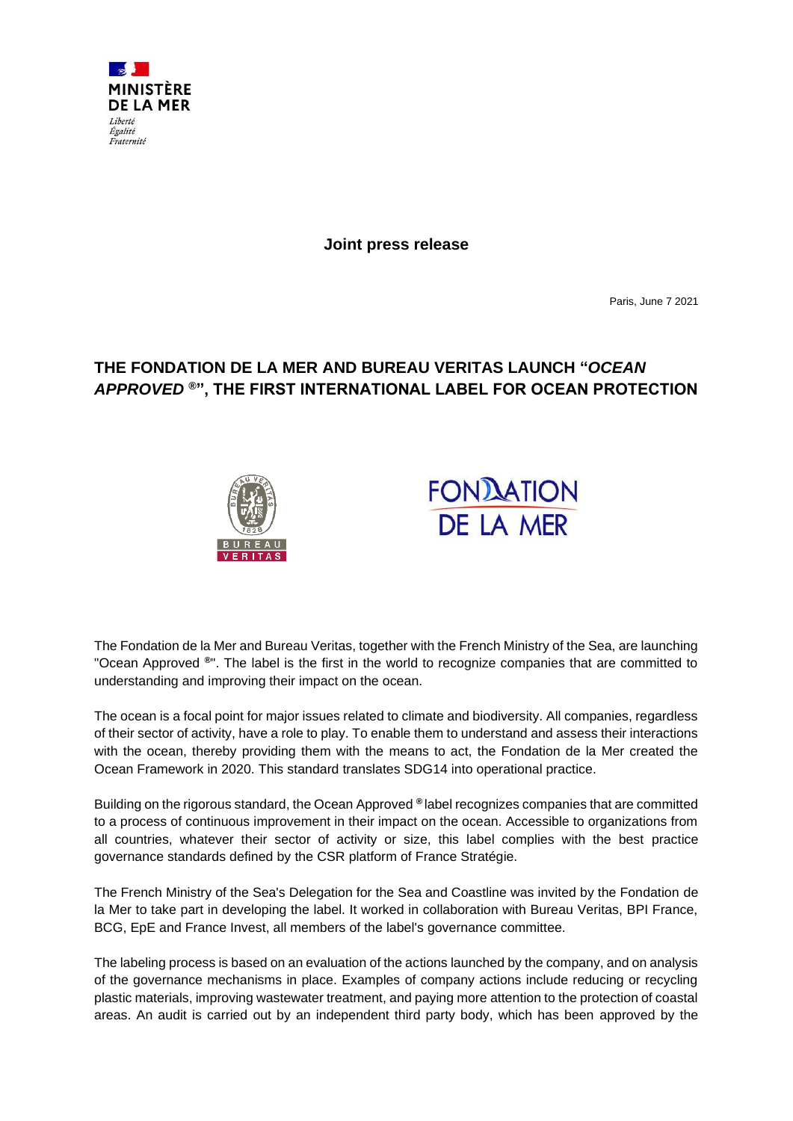

**Joint press release**

Paris, June 7 2021

# **THE FONDATION DE LA MER AND BUREAU VERITAS LAUNCH "***OCEAN APPROVED* **®", THE FIRST INTERNATIONAL LABEL FOR OCEAN PROTECTION**





The Fondation de la Mer and Bureau Veritas, together with the French Ministry of the Sea, are launching "Ocean Approved **®**". The label is the first in the world to recognize companies that are committed to understanding and improving their impact on the ocean.

The ocean is a focal point for major issues related to climate and biodiversity. All companies, regardless of their sector of activity, have a role to play. To enable them to understand and assess their interactions with the ocean, thereby providing them with the means to act, the Fondation de la Mer created the Ocean Framework in 2020. This standard translates SDG14 into operational practice.

Building on the rigorous standard, the Ocean Approved **®** label recognizes companies that are committed to a process of continuous improvement in their impact on the ocean. Accessible to organizations from all countries, whatever their sector of activity or size, this label complies with the best practice governance standards defined by the CSR platform of France Stratégie.

The French Ministry of the Sea's Delegation for the Sea and Coastline was invited by the Fondation de la Mer to take part in developing the label. It worked in collaboration with Bureau Veritas, BPI France, BCG, EpE and France Invest, all members of the label's governance committee.

The labeling process is based on an evaluation of the actions launched by the company, and on analysis of the governance mechanisms in place. Examples of company actions include reducing or recycling plastic materials, improving wastewater treatment, and paying more attention to the protection of coastal areas. An audit is carried out by an independent third party body, which has been approved by the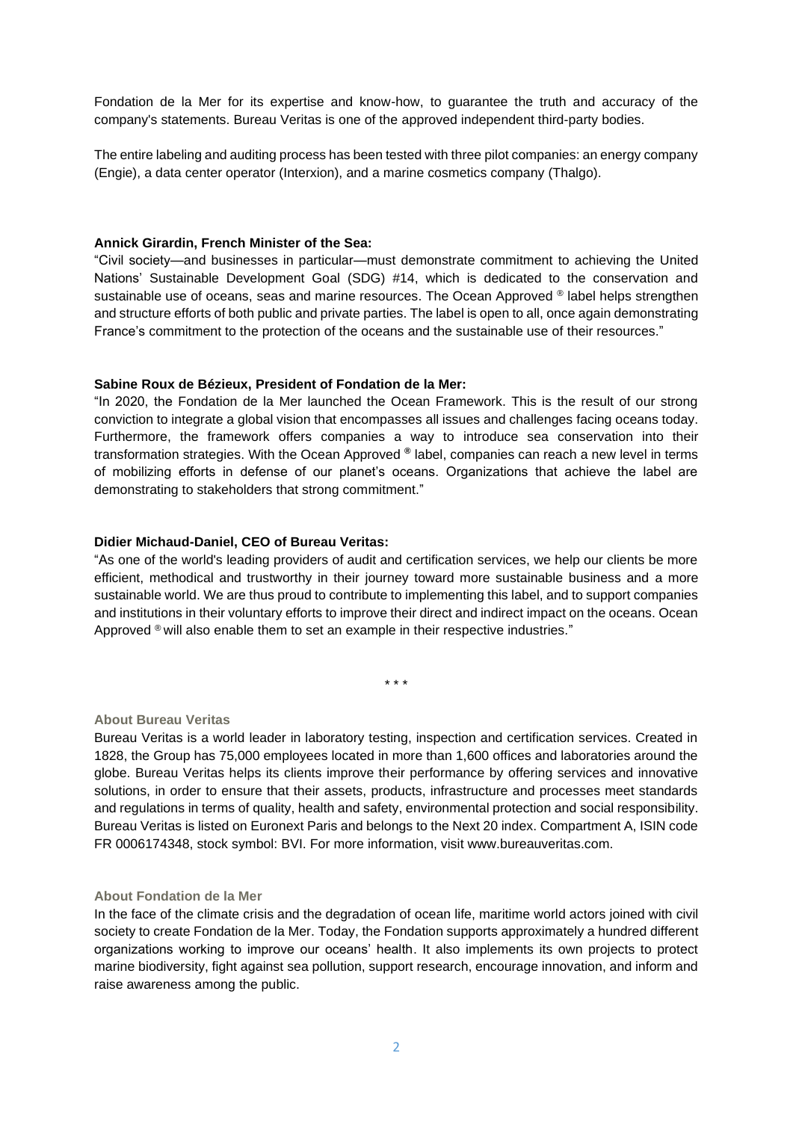Fondation de la Mer for its expertise and know-how, to guarantee the truth and accuracy of the company's statements. Bureau Veritas is one of the approved independent third-party bodies.

The entire labeling and auditing process has been tested with three pilot companies: an energy company (Engie), a data center operator (Interxion), and a marine cosmetics company (Thalgo).

## **Annick Girardin, French Minister of the Sea:**

"Civil society—and businesses in particular—must demonstrate commitment to achieving the United Nations' Sustainable Development Goal (SDG) #14, which is dedicated to the conservation and sustainable use of oceans, seas and marine resources. The Ocean Approved ® label helps strengthen and structure efforts of both public and private parties. The label is open to all, once again demonstrating France's commitment to the protection of the oceans and the sustainable use of their resources."

## **Sabine Roux de Bézieux, President of Fondation de la Mer:**

"In 2020, the Fondation de la Mer launched the Ocean Framework. This is the result of our strong conviction to integrate a global vision that encompasses all issues and challenges facing oceans today. Furthermore, the framework offers companies a way to introduce sea conservation into their transformation strategies. With the Ocean Approved **®** label, companies can reach a new level in terms of mobilizing efforts in defense of our planet's oceans. Organizations that achieve the label are demonstrating to stakeholders that strong commitment."

## **Didier Michaud-Daniel, CEO of Bureau Veritas:**

"As one of the world's leading providers of audit and certification services, we help our clients be more efficient, methodical and trustworthy in their journey toward more sustainable business and a more sustainable world. We are thus proud to contribute to implementing this label, and to support companies and institutions in their voluntary efforts to improve their direct and indirect impact on the oceans. Ocean Approved  $\mathcal{O}_{\mathcal{A}}$  will also enable them to set an example in their respective industries."

\* \* \*

#### **About Bureau Veritas**

Bureau Veritas is a world leader in laboratory testing, inspection and certification services. Created in 1828, the Group has 75,000 employees located in more than 1,600 offices and laboratories around the globe. Bureau Veritas helps its clients improve their performance by offering services and innovative solutions, in order to ensure that their assets, products, infrastructure and processes meet standards and regulations in terms of quality, health and safety, environmental protection and social responsibility. Bureau Veritas is listed on Euronext Paris and belongs to the Next 20 index. Compartment A, ISIN code FR 0006174348, stock symbol: BVI. For more information, visit www.bureauveritas.com.

#### **About Fondation de la Mer**

In the face of the climate crisis and the degradation of ocean life, maritime world actors joined with civil society to create Fondation de la Mer. Today, the Fondation supports approximately a hundred different organizations working to improve our oceans' health. It also implements its own projects to protect marine biodiversity, fight against sea pollution, support research, encourage innovation, and inform and raise awareness among the public.